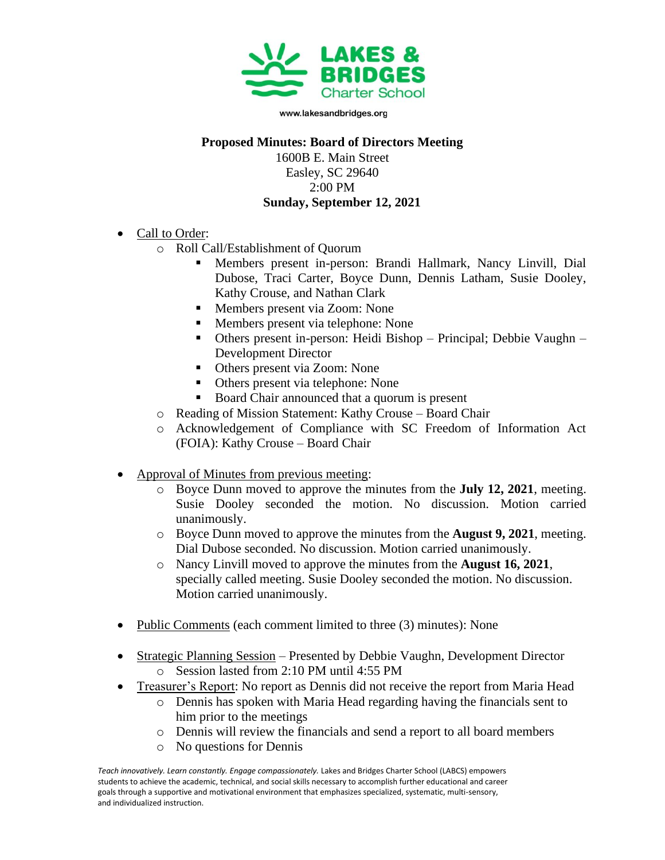

www.lakesandbridges.org

## **Proposed Minutes: Board of Directors Meeting**

1600B E. Main Street Easley, SC 29640 2:00 PM **Sunday, September 12, 2021**

- Call to Order:
	- o Roll Call/Establishment of Quorum
		- Members present in-person: Brandi Hallmark, Nancy Linvill, Dial Dubose, Traci Carter, Boyce Dunn, Dennis Latham, Susie Dooley, Kathy Crouse, and Nathan Clark
		- Members present via Zoom: None
		- Members present via telephone: None
		- Others present in-person: Heidi Bishop Principal; Debbie Vaughn Development Director
		- Others present via Zoom: None
		- Others present via telephone: None
		- Board Chair announced that a quorum is present
	- o Reading of Mission Statement: Kathy Crouse Board Chair
	- o Acknowledgement of Compliance with SC Freedom of Information Act (FOIA): Kathy Crouse – Board Chair
- Approval of Minutes from previous meeting:
	- o Boyce Dunn moved to approve the minutes from the **July 12, 2021**, meeting. Susie Dooley seconded the motion. No discussion. Motion carried unanimously.
	- o Boyce Dunn moved to approve the minutes from the **August 9, 2021**, meeting. Dial Dubose seconded. No discussion. Motion carried unanimously.
	- o Nancy Linvill moved to approve the minutes from the **August 16, 2021**, specially called meeting. Susie Dooley seconded the motion. No discussion. Motion carried unanimously.
- Public Comments (each comment limited to three (3) minutes): None
- Strategic Planning Session Presented by Debbie Vaughn, Development Director o Session lasted from 2:10 PM until 4:55 PM
- Treasurer's Report: No report as Dennis did not receive the report from Maria Head
	- o Dennis has spoken with Maria Head regarding having the financials sent to him prior to the meetings
	- o Dennis will review the financials and send a report to all board members
	- o No questions for Dennis

Teach innovatively. Learn constantly. Engage compassionately. Lakes and Bridges Charter School (LABCS) empowers students to achieve the academic, technical, and social skills necessary to accomplish further educational and career goals through a supportive and motivational environment that emphasizes specialized, systematic, multi-sensory, and individualized instruction.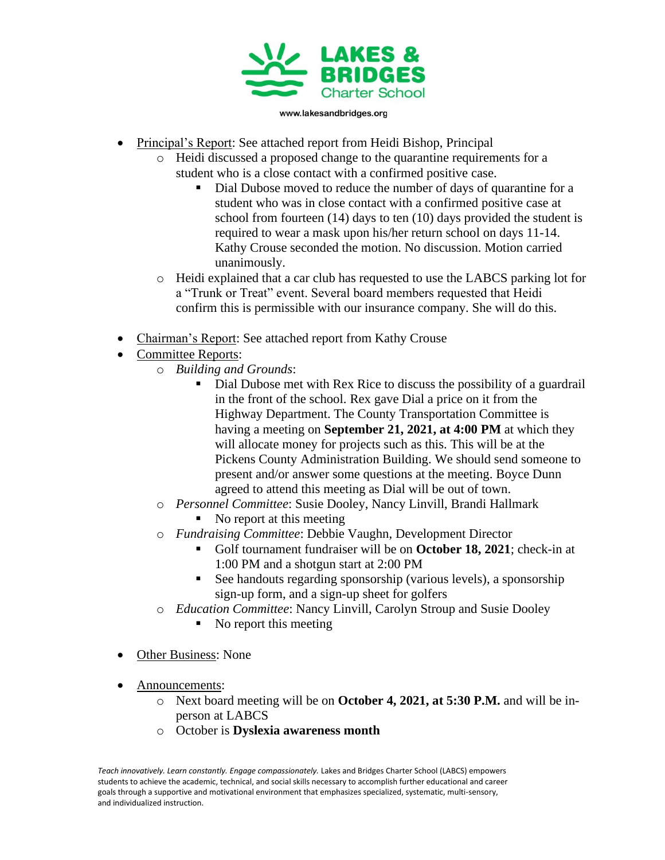

www.lakesandbridges.org

- Principal's Report: See attached report from Heidi Bishop, Principal
	- o Heidi discussed a proposed change to the quarantine requirements for a student who is a close contact with a confirmed positive case.
		- Dial Dubose moved to reduce the number of days of quarantine for a student who was in close contact with a confirmed positive case at school from fourteen (14) days to ten (10) days provided the student is required to wear a mask upon his/her return school on days 11-14. Kathy Crouse seconded the motion. No discussion. Motion carried unanimously.
	- o Heidi explained that a car club has requested to use the LABCS parking lot for a "Trunk or Treat" event. Several board members requested that Heidi confirm this is permissible with our insurance company. She will do this.
- Chairman's Report: See attached report from Kathy Crouse
- Committee Reports:
	- o *Building and Grounds*:
		- Dial Dubose met with Rex Rice to discuss the possibility of a guardrail in the front of the school. Rex gave Dial a price on it from the Highway Department. The County Transportation Committee is having a meeting on **September 21, 2021, at 4:00 PM** at which they will allocate money for projects such as this. This will be at the Pickens County Administration Building. We should send someone to present and/or answer some questions at the meeting. Boyce Dunn agreed to attend this meeting as Dial will be out of town.
	- o *Personnel Committee*: Susie Dooley, Nancy Linvill, Brandi Hallmark ■ No report at this meeting
	- o *Fundraising Committee*: Debbie Vaughn, Development Director
		- Golf tournament fundraiser will be on **October 18, 2021**; check-in at 1:00 PM and a shotgun start at 2:00 PM
		- See handouts regarding sponsorship (various levels), a sponsorship sign-up form, and a sign-up sheet for golfers
	- o *Education Committee*: Nancy Linvill, Carolyn Stroup and Susie Dooley
		- $\blacksquare$  No report this meeting
- Other Business: None
- Announcements:
	- o Next board meeting will be on **October 4, 2021, at 5:30 P.M.** and will be inperson at LABCS
	- o October is **Dyslexia awareness month**

Teach innovatively. Learn constantly. Engage compassionately. Lakes and Bridges Charter School (LABCS) empowers students to achieve the academic, technical, and social skills necessary to accomplish further educational and career goals through a supportive and motivational environment that emphasizes specialized, systematic, multi-sensory, and individualized instruction.